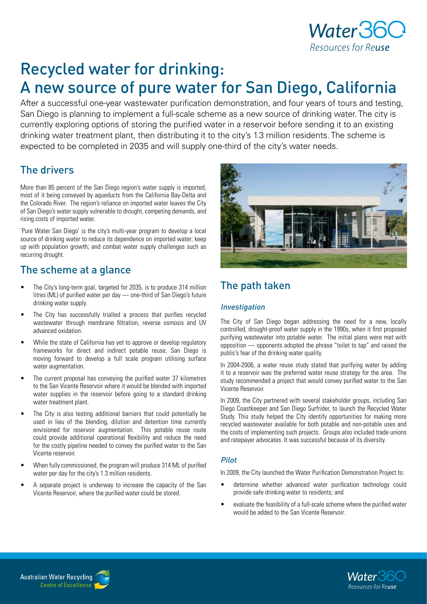

# Recycled water for drinking: A new source of pure water for San Diego, California

After a successful one-year wastewater purification demonstration, and four years of tours and testing, San Diego is planning to implement a full-scale scheme as a new source of drinking water. The city is currently exploring options of storing the purified water in a reservoir before sending it to an existing drinking water treatment plant, then distributing it to the city's 1.3 million residents. The scheme is expected to be completed in 2035 and will supply one-third of the city's water needs.

### The drivers

More than 85 percent of the San Diego region's water supply is imported, most of it being conveyed by aqueducts from the California Bay-Delta and the Colorado River. The region's reliance on imported water leaves the City of San Diego's water supply vulnerable to drought, competing demands, and rising costs of imported water.

'Pure Water San Diego' is the city's multi-year program to develop a local source of drinking water to reduce its dependence on imported water; keep up with population growth; and combat water supply challenges such as recurring drought.

### The scheme at a glance

- The City's long-term goal, targeted for 2035, is to produce 314 million litres (ML) of purified water per day — one-third of San Diego's future drinking water supply.
- The City has successfully trialled a process that purifies recycled wastewater through membrane filtration, reverse osmosis and UV advanced oxidation.
- While the state of California has yet to approve or develop regulatory frameworks for direct and indirect potable reuse, San Diego is moving forward to develop a full scale program utilising surface water augmentation.
- The current proposal has conveying the purified water 37 kilometres to the San Vicente Reservoir where it would be blended with imported water supplies in the reservoir before going to a standard drinking water treatment plant.
- The City is also testing additional barriers that could potentially be used in lieu of the blending, dilution and detention time currently envisioned for reservoir augmentation. This potable reuse route could provide additional operational flexibility and reduce the need for the costly pipeline needed to convey the purified water to the San Vicente reservoir.
- When fully commissioned, the program will produce 314 ML of purified water per day for the city's 1.3 million residents.
- A separate project is underway to increase the capacity of the San Vicente Reservoir, where the purified water could be stored.



## The path taken

### Investigation

The City of San Diego began addressing the need for a new, locally controlled, drought-proof water supply in the 1990s, when it first proposed purifying wastewater into potable water. The initial plans were met with opposition — opponents adopted the phrase "toilet to tap" and raised the public's fear of the drinking water quality.

In 2004-2006, a water reuse study stated that purifying water by adding it to a reservoir was the preferred water reuse strategy for the area. The study recommended a project that would convey purified water to the San Vicente Reservoir.

In 2009, the City partnered with several stakeholder groups, including San Diego Coastkeeper and San Diego Surfrider, to launch the Recycled Water Study. This study helped the City identify opportunities for making more recycled wastewater available for both potable and non-potable uses and the costs of implementing such projects. Groups also included trade unions and ratepayer advocates. It was successful because of its diversity.

### Pilot

In 2009, the City launched the Water Purification Demonstration Project to:

- determine whether advanced water purification technology could provide safe drinking water to residents; and
- evaluate the feasibility of a full-scale scheme where the purified water would be added to the San Vicente Reservoir.